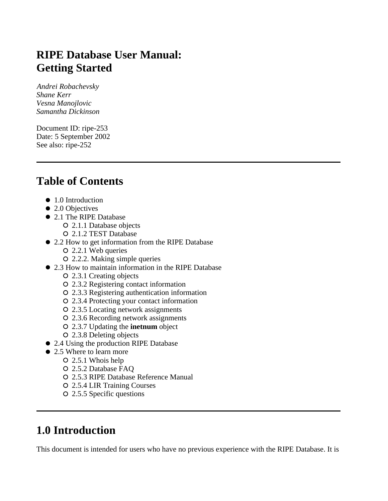# **RIPE Database User Manual: Getting Started**

*Andrei Robachevsky Shane Kerr Vesna Manojlovic Samantha Dickinson*

Document ID: ripe-253 Date: 5 September 2002 See also: ripe-252

# **Table of Contents**

- 1.0 Introduction
- 2.0 Objectives
- 2.1 The RIPE Database
	- 2.1.1 Database objects
		- 2.1.2 TEST Database
- 2.2 How to get information from the RIPE Database
	- 2.2.1 Web queries
	- 2.2.2. Making simple queries
- 2.3 How to maintain information in the RIPE Database
	- 2.3.1 Creating objects
	- 2.3.2 Registering contact information
	- 2.3.3 Registering authentication information
	- 2.3.4 Protecting your contact information
	- 2.3.5 Locating network assignments
	- 2.3.6 Recording network assignments
	- 2.3.7 Updating the **inetnum** object
	- 2.3.8 Deleting objects
- 2.4 Using the production RIPE Database
- 2.5 Where to learn more
	- 2.5.1 Whois help
	- 2.5.2 Database FAQ
	- 2.5.3 RIPE Database Reference Manual
	- 2.5.4 LIR Training Courses
	- 2.5.5 Specific questions

# **1.0 Introduction**

This document is intended for users who have no previous experience with the RIPE Database. It is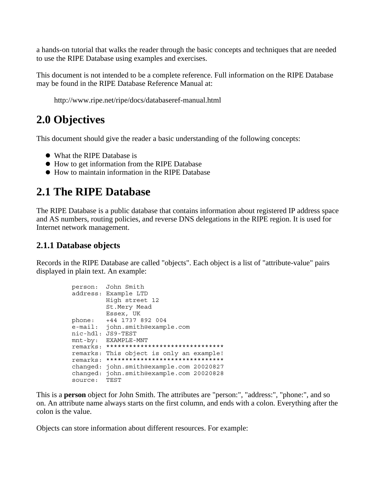a hands-on tutorial that walks the reader through the basic concepts and techniques that are needed to use the RIPE Database using examples and exercises.

This document is not intended to be a complete reference. Full information on the RIPE Database may be found in the RIPE Database Reference Manual at:

http://www.ripe.net/ripe/docs/databaseref-manual.html

# **2.0 Objectives**

This document should give the reader a basic understanding of the following concepts:

- What the RIPE Database is
- How to get information from the RIPE Database
- How to maintain information in the RIPE Database

## **2.1 The RIPE Database**

The RIPE Database is a public database that contains information about registered IP address space and AS numbers, routing policies, and reverse DNS delegations in the RIPE region. It is used for Internet network management.

#### **2.1.1 Database objects**

Records in the RIPE Database are called "objects". Each object is a list of "attribute-value" pairs displayed in plain text. An example:

```
person: John Smith
address: Example LTD
         High street 12
         St.Mery Mead
 Essex, UK
phone: +44 1737 892 004
e-mail: john.smith@example.com
nic-hdl: JS9-TEST
mnt-by: EXAMPLE-MNT
remarks: *******************************
remarks: This object is only an example!
remarks: *******************************
changed: john.smith@example.com 20020827
changed: john.smith@example.com 20020828
source: TEST
```
This is a **person** object for John Smith. The attributes are "person:", "address:", "phone:", and so on. An attribute name always starts on the first column, and ends with a colon. Everything after the colon is the value.

Objects can store information about different resources. For example: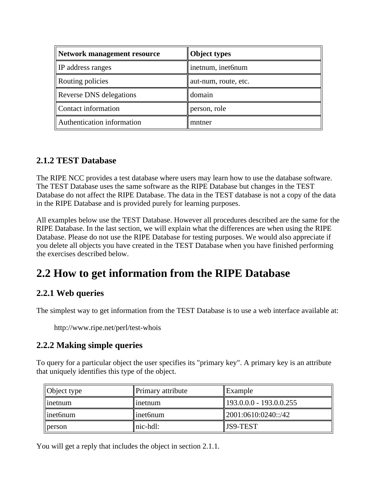| Network management resource    | <b>Object types</b>  |
|--------------------------------|----------------------|
| <b>IP</b> address ranges       | inetnum, inet6num    |
| Routing policies               | aut-num, route, etc. |
| <b>Reverse DNS</b> delegations | domain               |
| Contact information            | person, role         |
| Authentication information     | mntner               |

## **2.1.2 TEST Database**

The RIPE NCC provides a test database where users may learn how to use the database software. The TEST Database uses the same software as the RIPE Database but changes in the TEST Database do not affect the RIPE Database. The data in the TEST database is not a copy of the data in the RIPE Database and is provided purely for learning purposes.

All examples below use the TEST Database. However all procedures described are the same for the RIPE Database. In the last section, we will explain what the differences are when using the RIPE Database. Please do not use the RIPE Database for testing purposes. We would also appreciate if you delete all objects you have created in the TEST Database when you have finished performing the exercises described below.

# **2.2 How to get information from the RIPE Database**

## **2.2.1 Web queries**

The simplest way to get information from the TEST Database is to use a web interface available at:

http://www.ripe.net/perl/test-whois

## **2.2.2 Making simple queries**

To query for a particular object the user specifies its "primary key". A primary key is an attribute that uniquely identifies this type of the object.

| $\vert$ Object type  | Primary attribute  | $\parallel$ Example                 |
|----------------------|--------------------|-------------------------------------|
| $\parallel$ inetnum  | $\lim$ ) then      | $\parallel$ 193.0.0.0 - 193.0.0.255 |
| $\parallel$ inet6num | $\mathsf{linef}_1$ | $\parallel$ 2001:0610:0240::/42     |
| $\parallel$ person   | $\ $ nic-hdl:      | JS9-TEST                            |

You will get a reply that includes the object in section 2.1.1.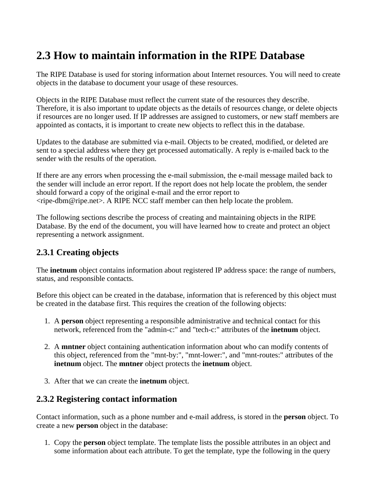# **2.3 How to maintain information in the RIPE Database**

The RIPE Database is used for storing information about Internet resources. You will need to create objects in the database to document your usage of these resources.

Objects in the RIPE Database must reflect the current state of the resources they describe. Therefore, it is also important to update objects as the details of resources change, or delete objects if resources are no longer used. If IP addresses are assigned to customers, or new staff members are appointed as contacts, it is important to create new objects to reflect this in the database.

Updates to the database are submitted via e-mail. Objects to be created, modified, or deleted are sent to a special address where they get processed automatically. A reply is e-mailed back to the sender with the results of the operation.

If there are any errors when processing the e-mail submission, the e-mail message mailed back to the sender will include an error report. If the report does not help locate the problem, the sender should forward a copy of the original e-mail and the error report to <ripe-dbm@ripe.net>. A RIPE NCC staff member can then help locate the problem.

The following sections describe the process of creating and maintaining objects in the RIPE Database. By the end of the document, you will have learned how to create and protect an object representing a network assignment.

## **2.3.1 Creating objects**

The **inetnum** object contains information about registered IP address space: the range of numbers, status, and responsible contacts.

Before this object can be created in the database, information that is referenced by this object must be created in the database first. This requires the creation of the following objects:

- 1. A **person** object representing a responsible administrative and technical contact for this network, referenced from the "admin-c:" and "tech-c:" attributes of the **inetnum** object.
- 2. A **mntner** object containing authentication information about who can modify contents of this object, referenced from the "mnt-by:", "mnt-lower:", and "mnt-routes:" attributes of the **inetnum** object. The **mntner** object protects the **inetnum** object.
- 3. After that we can create the **inetnum** object.

## **2.3.2 Registering contact information**

Contact information, such as a phone number and e-mail address, is stored in the **person** object. To create a new **person** object in the database:

1. Copy the **person** object template. The template lists the possible attributes in an object and some information about each attribute. To get the template, type the following in the query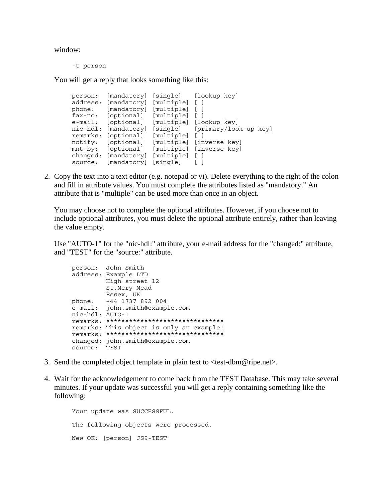window:

-t person

You will get a reply that looks something like this:

person: [mandatory] [single] [lookup key] address: [mandatory] [multiple] [ ] phone: [mandatory] [multiple] [ ] fax-no: [optional] [multiple] [ ] e-mail: [optional] [multiple] [lookup key] nic-hdl: [mandatory] [single] [primary/look-up key] remarks: [optional] [multiple] [ ] notify: [optional] [multiple] [inverse key] mnt-by: [optional] [multiple] [inverse key] changed: [mandatory] [multiple] [ ] source: [mandatory] [single] [ ]

2. Copy the text into a text editor (e.g. notepad or vi). Delete everything to the right of the colon and fill in attribute values. You must complete the attributes listed as "mandatory." An attribute that is "multiple" can be used more than once in an object.

You may choose not to complete the optional attributes. However, if you choose not to include optional attributes, you must delete the optional attribute entirely, rather than leaving the value empty.

Use "AUTO-1" for the "nic-hdl:" attribute, your e-mail address for the "changed:" attribute, and "TEST" for the "source:" attribute.

```
person: John Smith
address: Example LTD
         High street 12
         St.Mery Mead
         Essex, UK
phone: +44 1737 892 004
e-mail: john.smith@example.com
nic-hdl: AUTO-1
remarks: *******************************
remarks: This object is only an example!
remarks: *******************************
changed: john.smith@example.com
source: TEST
```
- 3. Send the completed object template in plain text to <test-dbm@ripe.net>.
- 4. Wait for the acknowledgement to come back from the TEST Database. This may take several minutes. If your update was successful you will get a reply containing something like the following:

Your update was SUCCESSFUL. The following objects were processed. New OK: [person] JS9-TEST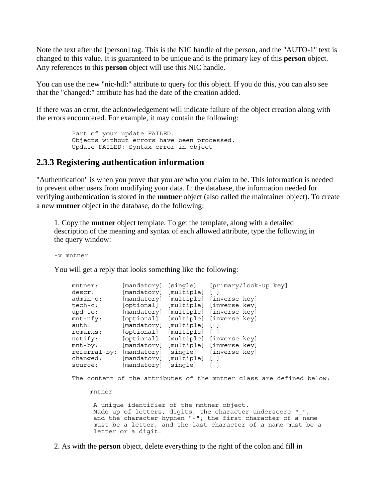Note the text after the [person] tag. This is the NIC handle of the person, and the "AUTO-1" text is changed to this value. It is guaranteed to be unique and is the primary key of this **person** object. Any references to this **person** object will use this NIC handle.

You can use the new "nic-hdl:" attribute to query for this object. If you do this, you can also see that the "changed:" attribute has had the date of the creation added.

If there was an error, the acknowledgement will indicate failure of the object creation along with the errors encountered. For example, it may contain the following:

```
Part of your update FAILED.
Objects without errors have been processed.
Update FAILED: Syntax error in object
```
#### **2.3.3 Registering authentication information**

"Authentication" is when you prove that you are who you claim to be. This information is needed to prevent other users from modifying your data. In the database, the information needed for verifying authentication is stored in the **mntner** object (also called the maintainer object). To create a new **mntner** object in the database, do the following:

1. Copy the **mntner** object template. To get the template, along with a detailed description of the meaning and syntax of each allowed attribute, type the following in the query window:

```
-v mntner
```
You will get a reply that looks something like the following:

|             | [mandatory]               | [single]       | [primary/look-up key]                                                |  |
|-------------|---------------------------|----------------|----------------------------------------------------------------------|--|
| descr:      | [mandatory] [multiple]    |                | $\Box$                                                               |  |
| $admin-c$ : | [mandatory]               |                | [multiple] [inverse key]                                             |  |
| tech-c:     | [optional]                |                | [multiple] [inverse key]                                             |  |
| upd-to:     |                           |                | [mandatory] [multiple] [inverse key]                                 |  |
| $mnt-nfy$ : | [optional]                |                | [multiple] [inverse key]                                             |  |
| auth:       | [mandatory]               | [multiple] [ ] |                                                                      |  |
| remarks:    | [optional] [multiple] []  |                |                                                                      |  |
| notify:     | [optional]                |                | [multiple] [inverse key]                                             |  |
| $mnt-by:$   |                           |                | [mandatory] [multiple] [inverse key]                                 |  |
|             |                           |                | referral-by: [mandatory] [single] [inverse key]                      |  |
| changed:    | [mandatory] [multiple] [] |                |                                                                      |  |
| source:     | [mandatory] [single] []   |                |                                                                      |  |
|             |                           |                |                                                                      |  |
| mntner      |                           |                | The content of the attributes of the mntner class are defined below: |  |

2. As with the **person** object, delete everything to the right of the colon and fill in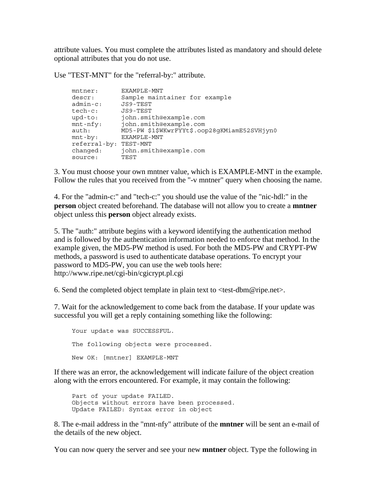attribute values. You must complete the attributes listed as mandatory and should delete optional attributes that you do not use.

Use "TEST-MNT" for the "referral-by:" attribute.

| $m$ tner:    | EXAMPLE-MNT                                  |
|--------------|----------------------------------------------|
| descr:       | Sample maintainer for example                |
| $admin-c$ :  | JS9-TEST                                     |
| tech-c:      | JS9-TEST                                     |
| $upd-to:$    | john.smith@example.com                       |
| $mnt-nfy$ :  | john.smith@example.com                       |
| auth:        | MD5-PW \$1\$WKwrFYYt\$.oop28gKMiamE52SVHjyn0 |
| $mnt-by:$    | EXAMPLE-MNT                                  |
| referral-by: | TEST-MNT                                     |
| changed:     | john.smith@example.com                       |
| source:      | TEST                                         |

3. You must choose your own mntner value, which is EXAMPLE-MNT in the example. Follow the rules that you received from the "-v mntner" query when choosing the name.

4. For the "admin-c:" and "tech-c:" you should use the value of the "nic-hdl:" in the **person** object created beforehand. The database will not allow you to create a **mntner** object unless this **person** object already exists.

5. The "auth:" attribute begins with a keyword identifying the authentication method and is followed by the authentication information needed to enforce that method. In the example given, the MD5-PW method is used. For both the MD5-PW and CRYPT-PW methods, a password is used to authenticate database operations. To encrypt your password to MD5-PW, you can use the web tools here: http://www.ripe.net/cgi-bin/cgicrypt.pl.cgi

6. Send the completed object template in plain text to <test-dbm@ripe.net>.

7. Wait for the acknowledgement to come back from the database. If your update was successful you will get a reply containing something like the following:

Your update was SUCCESSFUL. The following objects were processed. New OK: [mntner] EXAMPLE-MNT

If there was an error, the acknowledgement will indicate failure of the object creation along with the errors encountered. For example, it may contain the following:

Part of your update FAILED. Objects without errors have been processed. Update FAILED: Syntax error in object

8. The e-mail address in the "mnt-nfy" attribute of the **mntner** will be sent an e-mail of the details of the new object.

You can now query the server and see your new **mntner** object. Type the following in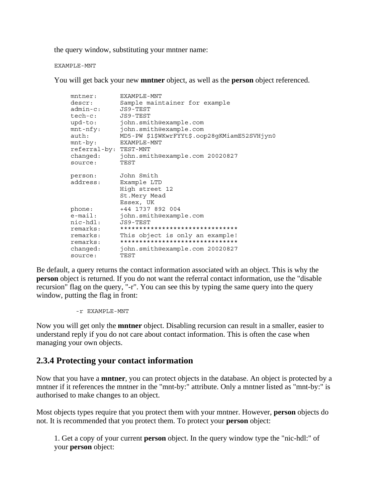the query window, substituting your mntner name:

EXAMPLE-MNT

You will get back your new **mntner** object, as well as the **person** object referenced.

| mntner:               | EXAMPLE-MNT                                  |
|-----------------------|----------------------------------------------|
| descr:                | Sample maintainer for example                |
| admin-c:              | JS9-TEST                                     |
| tech-c: JS9-TEST      |                                              |
| upd-to:               | john.smith@example.com                       |
| $mnt-nfy$ :           | john.smith@example.com                       |
| auth:                 | MD5-PW \$1\$WKwrFYYt\$.oop28qKMiamE52SVHjyn0 |
| $mnt-by:$             | EXAMPLE-MNT                                  |
| referral-by: TEST-MNT |                                              |
| changed:              | john.smith@example.com 20020827              |
| source:               | TEST                                         |
|                       |                                              |
| person:               | John Smith                                   |
| address:              | Example LTD                                  |
|                       | High street 12                               |
|                       | St.Mery Mead                                 |
|                       | Essex, UK                                    |
| phone:                | +44 1737 892 004                             |
| $e$ -mail:            | john.smith@example.com                       |
| nic-hdl:              | JS9-TEST                                     |
| remarks:              | *******************************              |
| remarks:              | This object is only an example!              |
| remarks:              | *******************************              |
| changed:              | john.smith@example.com 20020827              |
| source:               | TEST                                         |

Be default, a query returns the contact information associated with an object. This is why the **person** object is returned. If you do not want the referral contact information, use the "disable recursion" flag on the query, "-r". You can see this by typing the same query into the query window, putting the flag in front:

-r EXAMPLE-MNT

Now you will get only the **mntner** object. Disabling recursion can result in a smaller, easier to understand reply if you do not care about contact information. This is often the case when managing your own objects.

#### **2.3.4 Protecting your contact information**

Now that you have a **mntner**, you can protect objects in the database. An object is protected by a mntner if it references the mntner in the "mnt-by:" attribute. Only a mntner listed as "mnt-by:" is authorised to make changes to an object.

Most objects types require that you protect them with your mntner. However, **person** objects do not. It is recommended that you protect them. To protect your **person** object:

1. Get a copy of your current **person** object. In the query window type the "nic-hdl:" of your **person** object: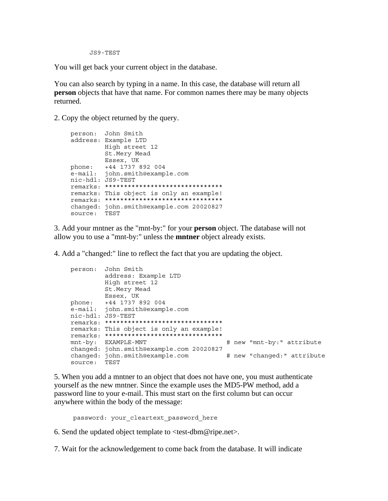JS9-TEST

You will get back your current object in the database.

You can also search by typing in a name. In this case, the database will return all **person** objects that have that name. For common names there may be many objects returned.

2. Copy the object returned by the query.

```
 person: John Smith
        address: Example LTD
                High street 12
                St.Mery Mead
 Essex, UK
 phone: +44 1737 892 004
 e-mail: john.smith@example.com
 nic-hdl: JS9-TEST
        remarks: *******************************
        remarks: This object is only an example!
        remarks: *******************************
        changed: john.smith@example.com 20020827
        source: TEST
```
3. Add your mntner as the "mnt-by:" for your **person** object. The database will not allow you to use a "mnt-by:" unless the **mntner** object already exists.

4. Add a "changed:" line to reflect the fact that you are updating the object.

```
 person: John Smith
                 address: Example LTD
                 High street 12
                St.Mery Mead
                Essex, UK
         phone: +44 1737 892 004
 e-mail: john.smith@example.com
 nic-hdl: JS9-TEST
         remarks: *******************************
         remarks: This object is only an example!
         remarks: *******************************
                                  # new "mnt-by:" attribute
         changed: john.smith@example.com 20020827
        changed: john.smith@example.com # new "changed:" attribute
         source: TEST
```
5. When you add a mntner to an object that does not have one, you must authenticate yourself as the new mntner. Since the example uses the MD5-PW method, add a password line to your e-mail. This must start on the first column but can occur anywhere within the body of the message:

password: your cleartext password here

6. Send the updated object template to <test-dbm@ripe.net>.

7. Wait for the acknowledgement to come back from the database. It will indicate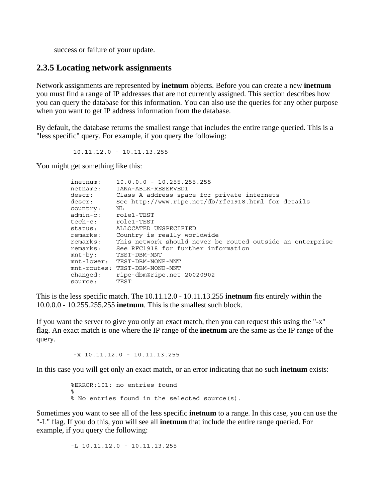success or failure of your update.

#### **2.3.5 Locating network assignments**

Network assignments are represented by **inetnum** objects. Before you can create a new **inetnum** you must find a range of IP addresses that are not currently assigned. This section describes how you can query the database for this information. You can also use the queries for any other purpose when you want to get IP address information from the database.

By default, the database returns the smallest range that includes the entire range queried. This is a "less specific" query. For example, if you query the following:

10.11.12.0 - 10.11.13.255

You might get something like this:

| inetnum:<br>netname: | $10.0.0.0 - 10.255.255.255$<br>IANA-ABLK-RESERVED1        |
|----------------------|-----------------------------------------------------------|
| descr:               | Class A address space for private internets               |
| descr:               | See http://www.ripe.net/db/rfc1918.html for details       |
| country:             | NL                                                        |
| admin-c: role1-TEST  |                                                           |
| tech-c: role1-TEST   |                                                           |
| status:              | ALLOCATED UNSPECIFIED                                     |
| remarks:             | Country is really worldwide                               |
| remarks:             | This network should never be routed outside an enterprise |
| remarks:             | See RFC1918 for further information                       |
| $mnt-by:$            | TEST-DBM-MNT                                              |
|                      | mnt-lower: TEST-DBM-NONE-MNT                              |
|                      | mnt-routes: TEST-DBM-NONE-MNT                             |
| changed:             | ripe-dbm@ripe.net 20020902                                |
| source:              | TEST                                                      |

This is the less specific match. The 10.11.12.0 - 10.11.13.255 **inetnum** fits entirely within the 10.0.0.0 - 10.255.255.255 **inetnum**. This is the smallest such block.

If you want the server to give you only an exact match, then you can request this using the "-x" flag. An exact match is one where the IP range of the **inetnum** are the same as the IP range of the query.

 $-x$  10.11.12.0 - 10.11.13.255

In this case you will get only an exact match, or an error indicating that no such **inetnum** exists:

 %ERROR:101: no entries found  $\sim$ % No entries found in the selected source(s).

Sometimes you want to see all of the less specific **inetnum** to a range. In this case, you can use the "-L" flag. If you do this, you will see all **inetnum** that include the entire range queried. For example, if you query the following:

-L 10.11.12.0 - 10.11.13.255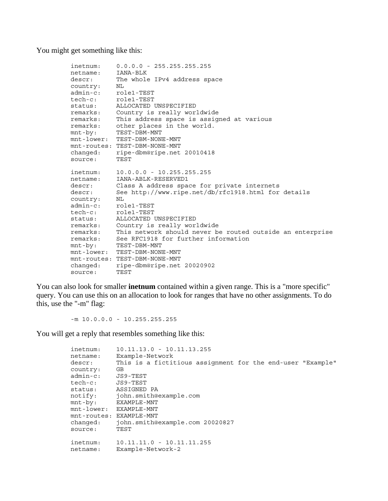You might get something like this:

```
 inetnum: 0.0.0.0 - 255.255.255.255
 netname: IANA-BLK
 descr: The whole IPv4 address space
 country: NL
 admin-c: role1-TEST
 tech-c: role1-TEST
      tech-c: role1-TEST<br>status: ALLOCATED UNSPECIFIED
 remarks: Country is really worldwide
 remarks: This address space is assigned at various
 remarks: other places in the world.
 mnt-by: TEST-DBM-MNT
        mnt-lower: TEST-DBM-NONE-MNT
        mnt-routes: TEST-DBM-NONE-MNT
 changed: ripe-dbm@ripe.net 20010418
 source: TEST
 inetnum: 10.0.0.0 - 10.255.255.255
 netname: IANA-ABLK-RESERVED1
 descr: Class A address space for private internets
 descr: See http://www.ripe.net/db/rfc1918.html for details
 country: NL
 admin-c: role1-TEST
 tech-c: role1-TEST
 status: ALLOCATED UNSPECIFIED
 remarks: Country is really worldwide
 remarks: This network should never be routed outside an enterprise
 remarks: See RFC1918 for further information
 mnt-by: TEST-DBM-MNT
        mnt-lower: TEST-DBM-NONE-MNT
        mnt-routes: TEST-DBM-NONE-MNT
        changed: ripe-dbm@ripe.net 20020902
        source: TEST
```
You can also look for smaller **inetnum** contained within a given range. This is a "more specific" query. You can use this on an allocation to look for ranges that have no other assignments. To do this, use the "-m" flag:

 $-m$  10.0.0.0 - 10.255.255.255

You will get a reply that resembles something like this:

| inetnum:<br>netname: | $10.11.13.0 - 10.11.13.255$<br>Example-Network             |
|----------------------|------------------------------------------------------------|
| descr:               | This is a fictitious assignment for the end-user "Example" |
| country:             | GB                                                         |
| $admin-c$ :          | JS9-TEST                                                   |
| tech-c:              | JS9-TEST                                                   |
| status:              | ASSIGNED PA                                                |
| notify:              | john.smith@example.com                                     |
| $mnt-by:$            | EXAMPLE-MNT                                                |
|                      | mnt-lower: EXAMPLE-MNT                                     |
|                      | mnt-routes: EXAMPLE-MNT                                    |
| changed:             | john.smith@example.com 20020827                            |
| source:              | TEST                                                       |
|                      | $10.11.11.0 - 10.11.11.255$                                |
| inetnum:             | Example-Network-2                                          |
| netname:             |                                                            |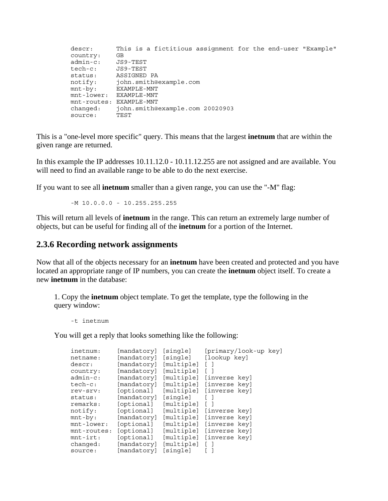descr: This is a fictitious assignment for the end-user "Example" country: GB admin-c: JS9-TEST tech-c: JS9-TEST status: ASSIGNED PA notify: john.smith@example.com mnt-by: EXAMPLE-MNT mnt-lower: EXAMPLE-MNT mnt-routes: EXAMPLE-MNT changed: john.smith@example.com 20020903 source: TEST

This is a "one-level more specific" query. This means that the largest **inetnum** that are within the given range are returned.

In this example the IP addresses 10.11.12.0 - 10.11.12.255 are not assigned and are available. You will need to find an available range to be able to do the next exercise.

If you want to see all **inetnum** smaller than a given range, you can use the "-M" flag:

 $-M$  10.0.0.0 - 10.255.255.255

This will return all levels of **inetnum** in the range. This can return an extremely large number of objects, but can be useful for finding all of the **inetnum** for a portion of the Internet.

#### **2.3.6 Recording network assignments**

Now that all of the objects necessary for an **inetnum** have been created and protected and you have located an appropriate range of IP numbers, you can create the **inetnum** object itself. To create a new **inetnum** in the database:

1. Copy the **inetnum** object template. To get the template, type the following in the query window:

-t inetnum

You will get a reply that looks something like the following:

| inetnum:    | [mandatory] | [single]   |                          | [primary/look-up key] |  |
|-------------|-------------|------------|--------------------------|-----------------------|--|
| netname:    | [mandatory] | [single]   |                          | [lookup key]          |  |
| descr:      | [mandatory] | [multiple] |                          |                       |  |
| country:    | [mandatory] | [multiple] |                          |                       |  |
| $admin-c$ : | [mandatory] | [multiple] |                          | [inverse key]         |  |
| $tech-c:$   | [mandatory] |            | [multiple] [inverse key] |                       |  |
| rev-srv:    | [optional]  |            | [multiple] [inverse key] |                       |  |
| status:     | [mandatory] | [single]   |                          |                       |  |
| remarks:    | [optional]  | [multiple] |                          |                       |  |
| notify:     | [optional]  |            | [multiple] [inverse key] |                       |  |
| $mnt-by:$   | [mandatory] | [multiple] |                          | [inverse key]         |  |
| mnt-lower:  | [optional]  |            | [multiple] [inverse key] |                       |  |
| mnt-routes: | [optional]  | [multiple] |                          | [inverse key]         |  |
| $mnt-irt:$  | [optional]  |            | [multiple] [inverse key] |                       |  |
| changed:    | [mandatory] | [multiple] |                          |                       |  |
| source:     | [mandatory] | [sinqle]   |                          |                       |  |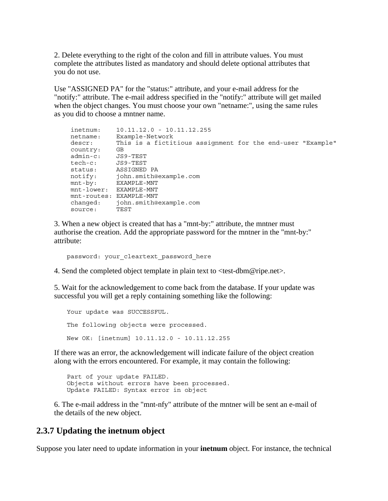2. Delete everything to the right of the colon and fill in attribute values. You must complete the attributes listed as mandatory and should delete optional attributes that you do not use.

Use "ASSIGNED PA" for the "status:" attribute, and your e-mail address for the "notify:" attribute. The e-mail address specified in the "notify:" attribute will get mailed when the object changes. You must choose your own "netname:", using the same rules as you did to choose a mntner name.

```
 inetnum: 10.11.12.0 - 10.11.12.255
 netname: Example-Network
 descr: This is a fictitious assignment for the end-user "Example"
 country: GB
 admin-c: JS9-TEST
 tech-c: JS9-TEST
       status: ASSIGNED PA
 notify: john.smith@example.com
 mnt-by: EXAMPLE-MNT
       mnt-lower: EXAMPLE-MNT
       mnt-routes: EXAMPLE-MNT
 changed: john.smith@example.com
 source: TEST
```
3. When a new object is created that has a "mnt-by:" attribute, the mntner must authorise the creation. Add the appropriate password for the mntner in the "mnt-by:" attribute:

```
password: your cleartext password here
```
4. Send the completed object template in plain text to <test-dbm@ripe.net>.

5. Wait for the acknowledgement to come back from the database. If your update was successful you will get a reply containing something like the following:

```
Your update was SUCCESSFUL.
 The following objects were processed.
 New OK: [inetnum] 10.11.12.0 - 10.11.12.255
```
If there was an error, the acknowledgement will indicate failure of the object creation along with the errors encountered. For example, it may contain the following:

 Part of your update FAILED. Objects without errors have been processed. Update FAILED: Syntax error in object

6. The e-mail address in the "mnt-nfy" attribute of the mntner will be sent an e-mail of the details of the new object.

#### **2.3.7 Updating the inetnum object**

Suppose you later need to update information in your **inetnum** object. For instance, the technical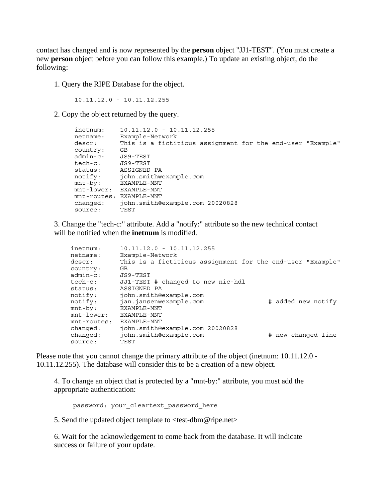contact has changed and is now represented by the **person** object "JJ1-TEST". (You must create a new **person** object before you can follow this example.) To update an existing object, do the following:

1. Query the RIPE Database for the object.

10.11.12.0 - 10.11.12.255

2. Copy the object returned by the query.

```
 inetnum: 10.11.12.0 - 10.11.12.255
        netname: Example-Network
        descr: This is a fictitious assignment for the end-user "Example"
 country: GB 
 admin-c: JS9-TEST
 tech-c: JS9-TEST
 status: ASSIGNED PA
 notify: john.smith@example.com
 mnt-by: EXAMPLE-MNT
 mnt-lower: EXAMPLE-MNT
        mnt-routes: EXAMPLE-MNT
 changed: john.smith@example.com 20020828
source: TEST
```
3. Change the "tech-c:" attribute. Add a "notify:" attribute so the new technical contact will be notified when the **inetnum** is modified.

| inetnum:       | $10.11.12.0 - 10.11.12.255$                                |                    |
|----------------|------------------------------------------------------------|--------------------|
| netname:       | Example-Network                                            |                    |
| descr:         | This is a fictitious assignment for the end-user "Example" |                    |
| country:       | GB                                                         |                    |
| $admin-c$ :    | JS9-TEST                                                   |                    |
| tech-c:        | JJ1-TEST # changed to new nic-hdl                          |                    |
| status:        | ASSIGNED PA                                                |                    |
| notify:        | john.smith@example.com                                     |                    |
| notify:        | jan.jansen@example.com                                     | # added new notify |
| $mnt-by:$      | EXAMPLE-MNT                                                |                    |
| $mnt$ -lower:  | EXAMPLE-MNT                                                |                    |
| $mnt$ -routes: | EXAMPLE-MNT                                                |                    |
| changed:       | john.smith@example.com 20020828                            |                    |
| changed:       | john.smith@example.com                                     | # new changed line |
| source:        | TEST                                                       |                    |
|                |                                                            |                    |

Please note that you cannot change the primary attribute of the object (inetnum: 10.11.12.0 - 10.11.12.255). The database will consider this to be a creation of a new object.

4. To change an object that is protected by a "mnt-by:" attribute, you must add the appropriate authentication:

password: your cleartext password here

5. Send the updated object template to <test-dbm@ripe.net>

6. Wait for the acknowledgement to come back from the database. It will indicate success or failure of your update.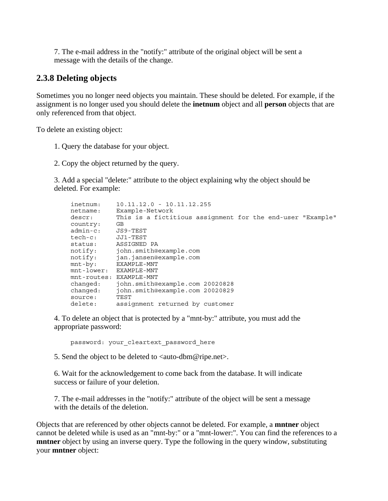7. The e-mail address in the "notify:" attribute of the original object will be sent a message with the details of the change.

#### **2.3.8 Deleting objects**

Sometimes you no longer need objects you maintain. These should be deleted. For example, if the assignment is no longer used you should delete the **inetnum** object and all **person** objects that are only referenced from that object.

To delete an existing object:

- 1. Query the database for your object.
- 2. Copy the object returned by the query.

3. Add a special "delete:" attribute to the object explaining why the object should be deleted. For example:

```
 inetnum: 10.11.12.0 - 10.11.12.255
 netname: Example-Network
 descr: This is a fictitious assignment for the end-user "Example"
 country: GB
 admin-c: JS9-TEST
 tech-c: JJ1-TEST
 status: ASSIGNED PA
 notify: john.smith@example.com
 notify: jan.jansen@example.com
 mnt-by: EXAMPLE-MNT
 mnt-lower: EXAMPLE-MNT
       mnt-routes: EXAMPLE-MNT
       changed: john.smith@example.com 20020828
       changed: john.smith@example.com 20020829
       source:
       delete: assignment returned by customer
```
4. To delete an object that is protected by a "mnt-by:" attribute, you must add the appropriate password:

password: your\_cleartext\_password\_here

5. Send the object to be deleted to  $\langle \text{auto-dbm@ripe.net} \rangle$ .

6. Wait for the acknowledgement to come back from the database. It will indicate success or failure of your deletion.

7. The e-mail addresses in the "notify:" attribute of the object will be sent a message with the details of the deletion.

Objects that are referenced by other objects cannot be deleted. For example, a **mntner** object cannot be deleted while is used as an "mnt-by:" or a "mnt-lower:". You can find the references to a **mntner** object by using an inverse query. Type the following in the query window, substituting your **mntner** object: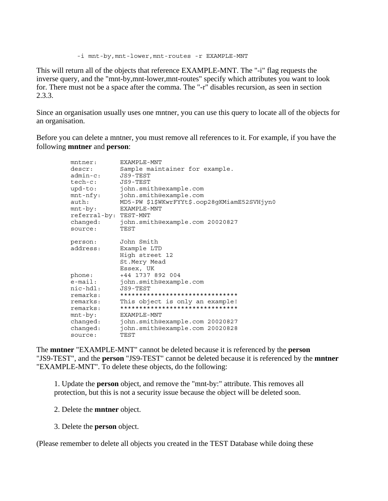-i mnt-by,mnt-lower,mnt-routes -r EXAMPLE-MNT

This will return all of the objects that reference EXAMPLE-MNT. The "-i" flag requests the inverse query, and the "mnt-by,mnt-lower,mnt-routes" specify which attributes you want to look for. There must not be a space after the comma. The "-r" disables recursion, as seen in section 2.3.3.

Since an organisation usually uses one mntner, you can use this query to locate all of the objects for an organisation.

Before you can delete a mntner, you must remove all references to it. For example, if you have the following **mntner** and **person**:

| $m$ tner:             | EXAMPLE-MNT                                  |
|-----------------------|----------------------------------------------|
| descr:                | Sample maintainer for example.               |
| admin-c: JS9-TEST     |                                              |
| tech-c: JS9-TEST      |                                              |
| upd-to:               | john.smith@example.com                       |
| $mnt-nfy$ :           | john.smith@example.com                       |
| auth:                 | MD5-PW \$1\$WKwrFYYt\$.oop28gKMiamE52SVHjyn0 |
| $mnt-by:$             | EXAMPLE-MNT                                  |
| referral-by: TEST-MNT |                                              |
| changed:              | john.smith@example.com 20020827              |
| source:               | TEST                                         |
|                       |                                              |
| person:               | John Smith                                   |
| address:              | Example LTD                                  |
|                       | High street 12                               |
|                       | St.Mery Mead                                 |
|                       | Essex, UK                                    |
| phone:                | +44 1737 892 004                             |
| $e$ -mail:            | john.smith@example.com                       |
| nic-hdl: JS9-TEST     |                                              |
| remarks:              | *******************************              |
| remarks:              | This object is only an example!              |
| remarks:              | *******************************              |
| $mnt-by:$             | EXAMPLE-MNT                                  |
| changed:              | john.smith@example.com 20020827              |
| changed:              | john.smith@example.com 20020828              |
| source:               | TEST                                         |

The **mntner** "EXAMPLE-MNT" cannot be deleted because it is referenced by the **person** "JS9-TEST", and the **person** "JS9-TEST" cannot be deleted because it is referenced by the **mntner** "EXAMPLE-MNT". To delete these objects, do the following:

1. Update the **person** object, and remove the "mnt-by:" attribute. This removes all protection, but this is not a security issue because the object will be deleted soon.

- 2. Delete the **mntner** object.
- 3. Delete the **person** object.

(Please remember to delete all objects you created in the TEST Database while doing these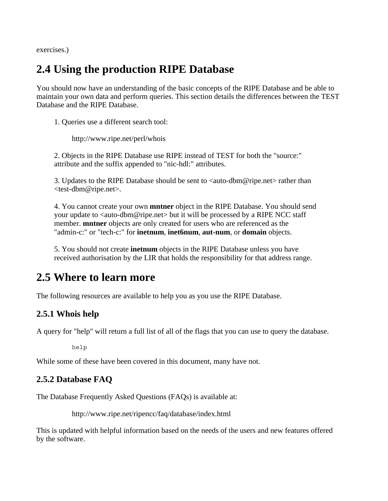exercises.)

# **2.4 Using the production RIPE Database**

You should now have an understanding of the basic concepts of the RIPE Database and be able to maintain your own data and perform queries. This section details the differences between the TEST Database and the RIPE Database.

1. Queries use a different search tool:

http://www.ripe.net/perl/whois

2. Objects in the RIPE Database use RIPE instead of TEST for both the "source:" attribute and the suffix appended to "nic-hdl:" attributes.

3. Updates to the RIPE Database should be sent to <auto-dbm@ripe.net> rather than <test-dbm@ripe.net>.

4. You cannot create your own **mntner** object in the RIPE Database. You should send your update to <auto-dbm@ripe.net> but it will be processed by a RIPE NCC staff member. **mntner** objects are only created for users who are referenced as the "admin-c:" or "tech-c:" for **inetnum**, **inet6num**, **aut-num**, or **domain** objects.

5. You should not create **inetnum** objects in the RIPE Database unless you have received authorisation by the LIR that holds the responsibility for that address range.

## **2.5 Where to learn more**

The following resources are available to help you as you use the RIPE Database.

## **2.5.1 Whois help**

A query for "help" will return a full list of all of the flags that you can use to query the database.

help

While some of these have been covered in this document, many have not.

## **2.5.2 Database FAQ**

The Database Frequently Asked Questions (FAQs) is available at:

http://www.ripe.net/ripencc/faq/database/index.html

This is updated with helpful information based on the needs of the users and new features offered by the software.